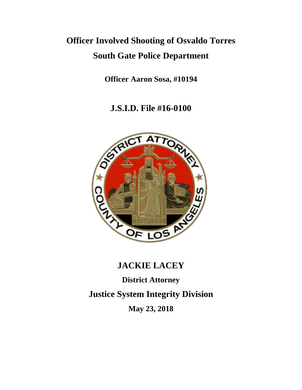# **Officer Involved Shooting of Osvaldo Torres South Gate Police Department**

**Officer Aaron Sosa, #10194**

**J.S.I.D. File #16-0100**



# **JACKIE LACEY**

**District Attorney**

**Justice System Integrity Division**

**May 23, 2018**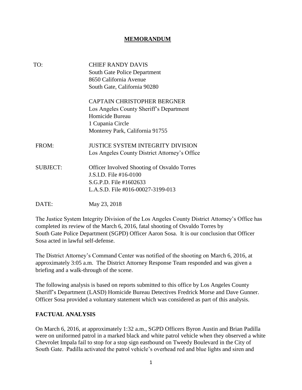#### **MEMORANDUM**

| TO:             | <b>CHIEF RANDY DAVIS</b><br>South Gate Police Department<br>8650 California Avenue<br>South Gate, California 90280                                      |
|-----------------|---------------------------------------------------------------------------------------------------------------------------------------------------------|
|                 | <b>CAPTAIN CHRISTOPHER BERGNER</b><br>Los Angeles County Sheriff's Department<br>Homicide Bureau<br>1 Cupania Circle<br>Monterey Park, California 91755 |
| FROM:           | <b>JUSTICE SYSTEM INTEGRITY DIVISION</b><br>Los Angeles County District Attorney's Office                                                               |
| <b>SUBJECT:</b> | <b>Officer Involved Shooting of Osvaldo Torres</b><br>$J.S.I.D.$ File $#16-0100$<br>S.G.P.D. File #1602633<br>L.A.S.D. File #016-00027-3199-013         |
| DATE:           | May 23, 2018                                                                                                                                            |

The Justice System Integrity Division of the Los Angeles County District Attorney's Office has completed its review of the March 6, 2016, fatal shooting of Osvaldo Torres by South Gate Police Department (SGPD) Officer Aaron Sosa. It is our conclusion that Officer Sosa acted in lawful self-defense.

The District Attorney's Command Center was notified of the shooting on March 6, 2016, at approximately 3:05 a.m. The District Attorney Response Team responded and was given a briefing and a walk-through of the scene.

The following analysis is based on reports submitted to this office by Los Angeles County Sheriff's Department (LASD) Homicide Bureau Detectives Fredrick Morse and Dave Gunner. Officer Sosa provided a voluntary statement which was considered as part of this analysis.

## **FACTUAL ANALYSIS**

On March 6, 2016, at approximately 1:32 a.m., SGPD Officers Byron Austin and Brian Padilla were on uniformed patrol in a marked black and white patrol vehicle when they observed a white Chevrolet Impala fail to stop for a stop sign eastbound on Tweedy Boulevard in the City of South Gate. Padilla activated the patrol vehicle's overhead red and blue lights and siren and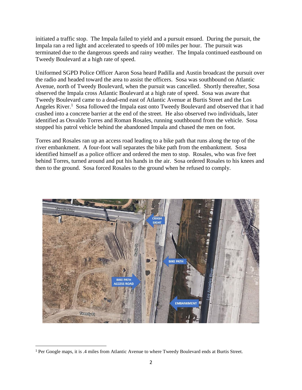initiated a traffic stop. The Impala failed to yield and a pursuit ensued. During the pursuit, the Impala ran a red light and accelerated to speeds of 100 miles per hour. The pursuit was terminated due to the dangerous speeds and rainy weather. The Impala continued eastbound on Tweedy Boulevard at a high rate of speed.

Uniformed SGPD Police Officer Aaron Sosa heard Padilla and Austin broadcast the pursuit over the radio and headed toward the area to assist the officers. Sosa was southbound on Atlantic Avenue, north of Tweedy Boulevard, when the pursuit was cancelled. Shortly thereafter, Sosa observed the Impala cross Atlantic Boulevard at a high rate of speed. Sosa was aware that Tweedy Boulevard came to a dead-end east of Atlantic Avenue at Burtis Street and the Los Angeles River.<sup>1</sup> Sosa followed the Impala east onto Tweedy Boulevard and observed that it had crashed into a concrete barrier at the end of the street. He also observed two individuals, later identified as Osvaldo Torres and Roman Rosales, running southbound from the vehicle. Sosa stopped his patrol vehicle behind the abandoned Impala and chased the men on foot.

Torres and Rosales ran up an access road leading to a bike path that runs along the top of the river embankment. A four-foot wall separates the bike path from the embankment. Sosa identified himself as a police officer and ordered the men to stop. Rosales, who was five feet behind Torres, turned around and put his hands in the air. Sosa ordered Rosales to his knees and then to the ground. Sosa forced Rosales to the ground when he refused to comply.



<sup>1</sup> Per Google maps, it is .4 miles from Atlantic Avenue to where Tweedy Boulevard ends at Burtis Street.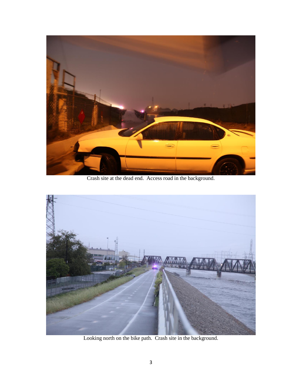

Crash site at the dead end. Access road in the background.



Looking north on the bike path. Crash site in the background.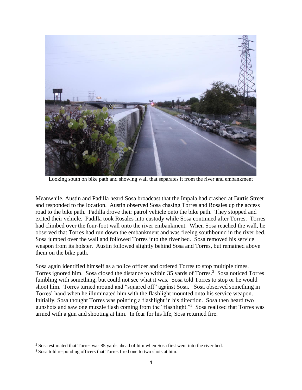

Looking south on bike path and showing wall that separates it from the river and embankment

Meanwhile, Austin and Padilla heard Sosa broadcast that the Impala had crashed at Burtis Street and responded to the location. Austin observed Sosa chasing Torres and Rosales up the access road to the bike path. Padilla drove their patrol vehicle onto the bike path. They stopped and exited their vehicle. Padilla took Rosales into custody while Sosa continued after Torres. Torres had climbed over the four-foot wall onto the river embankment. When Sosa reached the wall, he observed that Torres had run down the embankment and was fleeing southbound in the river bed. Sosa jumped over the wall and followed Torres into the river bed. Sosa removed his service weapon from its holster. Austin followed slightly behind Sosa and Torres, but remained above them on the bike path.

Sosa again identified himself as a police officer and ordered Torres to stop multiple times. Torres ignored him. Sosa closed the distance to within 35 yards of Torres.<sup>2</sup> Sosa noticed Torres fumbling with something, but could not see what it was. Sosa told Torres to stop or he would shoot him. Torres turned around and "squared off" against Sosa. Sosa observed something in Torres' hand when he illuminated him with the flashlight mounted onto his service weapon. Initially, Sosa thought Torres was pointing a flashlight in his direction. Sosa then heard two gunshots and saw one muzzle flash coming from the "flashlight."<sup>3</sup> Sosa realized that Torres was armed with a gun and shooting at him. In fear for his life, Sosa returned fire.

<sup>&</sup>lt;sup>2</sup> Sosa estimated that Torres was 85 yards ahead of him when Sosa first went into the river bed.

<sup>&</sup>lt;sup>3</sup> Sosa told responding officers that Torres fired one to two shots at him.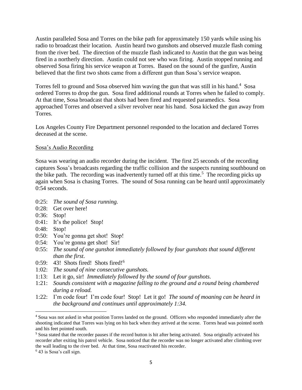Austin paralleled Sosa and Torres on the bike path for approximately 150 yards while using his radio to broadcast their location. Austin heard two gunshots and observed muzzle flash coming from the river bed. The direction of the muzzle flash indicated to Austin that the gun was being fired in a northerly direction. Austin could not see who was firing. Austin stopped running and observed Sosa firing his service weapon at Torres. Based on the sound of the gunfire, Austin believed that the first two shots came from a different gun than Sosa's service weapon.

Torres fell to ground and Sosa observed him waving the gun that was still in his hand.<sup>4</sup> Sosa ordered Torres to drop the gun. Sosa fired additional rounds at Torres when he failed to comply. At that time, Sosa broadcast that shots had been fired and requested paramedics. Sosa approached Torres and observed a silver revolver near his hand. Sosa kicked the gun away from Torres.

Los Angeles County Fire Department personnel responded to the location and declared Torres deceased at the scene.

#### Sosa's Audio Recording

Sosa was wearing an audio recorder during the incident. The first 25 seconds of the recording captures Sosa's broadcasts regarding the traffic collision and the suspects running southbound on the bike path. The recording was inadvertently turned off at this time.<sup>5</sup> The recording picks up again when Sosa is chasing Torres. The sound of Sosa running can be heard until approximately 0:54 seconds.

- 0:25: *The sound of Sosa running.*
- 0:28: Get over here!
- 0:36: Stop!
- 0:41: It's the police! Stop!
- 0:48: Stop!
- 0:50: You're gonna get shot! Stop!
- 0:54: You're gonna get shot! Sir!
- 0:55: *The sound of one gunshot immediately followed by four gunshots that sound different than the first.*
- 0:59: 43! Shots fired! Shots fired!<sup>6</sup>
- 1:02: *The sound of nine consecutive gunshots.*
- 1:13: Let it go, sir! *Immediately followed by the sound of four gunshots.*
- 1:21: *Sounds consistent with a magazine falling to the ground and a round being chambered during a reload.*
- 1:22: I'm code four! I'm code four! Stop! Let it go! *The sound of moaning can be heard in the background and continues until approximately 1:34.*

<sup>4</sup> Sosa was not asked in what position Torres landed on the ground. Officers who responded immediately after the shooting indicated that Torres was lying on his back when they arrived at the scene. Torres head was pointed north and his feet pointed south.

<sup>5</sup> Sosa stated that the recorder pauses if the record button is hit after being activated. Sosa originally activated his recorder after exiting his patrol vehicle. Sosa noticed that the recorder was no longer activated after climbing over the wall leading to the river bed. At that time, Sosa reactivated his recorder.

<sup>6</sup> 43 is Sosa's call sign.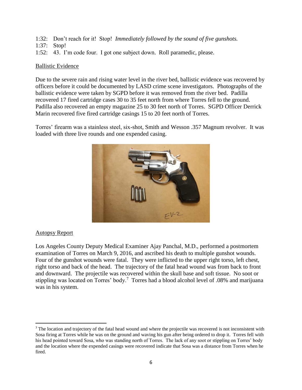- 1:32: Don't reach for it! Stop! *Immediately followed by the sound of five gunshots.*
- 1:37: Stop!
- 1:52: 43. I'm code four. I got one subject down. Roll paramedic, please.

#### Ballistic Evidence

Due to the severe rain and rising water level in the river bed, ballistic evidence was recovered by officers before it could be documented by LASD crime scene investigators. Photographs of the ballistic evidence were taken by SGPD before it was removed from the river bed. Padilla recovered 17 fired cartridge cases 30 to 35 feet north from where Torres fell to the ground. Padilla also recovered an empty magazine 25 to 30 feet north of Torres. SGPD Officer Derrick Marin recovered five fired cartridge casings 15 to 20 feet north of Torres.

Torres' firearm was a stainless steel, six-shot, Smith and Wesson .357 Magnum revolver. It was loaded with three live rounds and one expended casing.



#### Autopsy Report

Los Angeles County Deputy Medical Examiner Ajay Panchal, M.D., performed a postmortem examination of Torres on March 9, 2016, and ascribed his death to multiple gunshot wounds. Four of the gunshot wounds were fatal. They were inflicted to the upper right torso, left chest, right torso and back of the head. The trajectory of the fatal head wound was from back to front and downward. The projectile was recovered within the skull base and soft tissue. No soot or stippling was located on Torres' body.<sup>7</sup> Torres had a blood alcohol level of .08% and marijuana was in his system.

<sup>7</sup> The location and trajectory of the fatal head wound and where the projectile was recovered is not inconsistent with Sosa firing at Torres while he was on the ground and waving his gun after being ordered to drop it. Torres fell with his head pointed toward Sosa, who was standing north of Torres. The lack of any soot or stippling on Torres' body and the location where the expended casings were recovered indicate that Sosa was a distance from Torres when he fired.